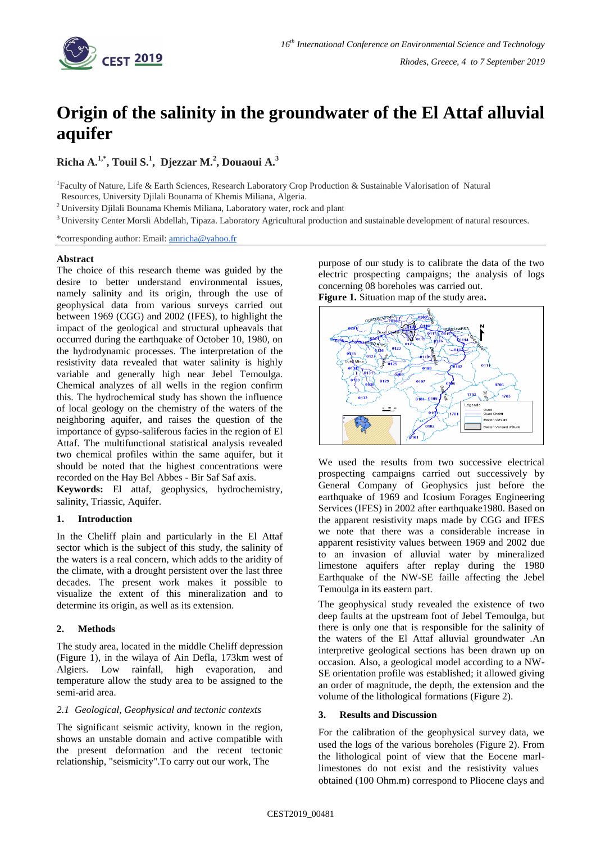

# **Origin of the salinity in the groundwater of the El Attaf alluvial aquifer**

**Richa A.1,\*, Touil S.<sup>1</sup> , Djezzar M.<sup>2</sup> , Douaoui A.<sup>3</sup>**

<sup>1</sup> Faculty of Nature, Life & Earth Sciences, Research Laboratory Crop Production & Sustainable Valorisation of Natural

Resources, University Djilali Bounama of Khemis Miliana, Algeria.

<sup>2</sup> University Djilali Bounama Khemis Miliana, Laboratory water, rock and plant

<sup>3</sup> University Center Morsli Abdellah, Tipaza. Laboratory Agricultural production and sustainable development of natural resources.

\*corresponding author: Email: [amricha@yahoo.fr](mailto:amricha@yahoo.fr)

## **Abstract**

The choice of this research theme was guided by the desire to better understand environmental issues, namely salinity and its origin, through the use of geophysical data from various surveys carried out between 1969 (CGG) and 2002 (IFES), to highlight the impact of the geological and structural upheavals that occurred during the earthquake of October 10, 1980, on the hydrodynamic processes. The interpretation of the resistivity data revealed that water salinity is highly variable and generally high near Jebel Temoulga. Chemical analyzes of all wells in the region confirm this. The hydrochemical study has shown the influence of local geology on the chemistry of the waters of the neighboring aquifer, and raises the question of the importance of gypso-saliferous facies in the region of El Attaf. The multifunctional statistical analysis revealed two chemical profiles within the same aquifer, but it should be noted that the highest concentrations were recorded on the Hay Bel Abbes - Bir Saf Saf axis.

**Keywords:** El attaf, geophysics, hydrochemistry, salinity, Triassic, Aquifer.

# **1. Introduction**

In the Cheliff plain and particularly in the El Attaf sector which is the subject of this study, the salinity of the waters is a real concern, which adds to the aridity of the climate, with a drought persistent over the last three decades. The present work makes it possible to visualize the extent of this mineralization and to determine its origin, as well as its extension.

# **2. Methods**

The study area, located in the middle Cheliff depression (Figure 1), in the wilaya of Ain Defla, 173km west of Algiers. Low rainfall, high evaporation, and temperature allow the study area to be assigned to the semi-arid area.

## *2.1 Geological, Geophysical and tectonic contexts*

The significant seismic activity, known in the region, shows an unstable domain and active compatible with the present deformation and the recent tectonic relationship, "seismicity".To carry out our work, The

purpose of our study is to calibrate the data of the two electric prospecting campaigns; the analysis of logs concerning 08 boreholes was carried out. **Figure 1.** Situation map of the study area**.**



We used the results from two successive electrical prospecting campaigns carried out successively by General Company of Geophysics just before the earthquake of 1969 and Icosium Forages Engineering Services (IFES) in 2002 after earthquake1980. Based on the apparent resistivity maps made by CGG and IFES we note that there was a considerable increase in apparent resistivity values between 1969 and 2002 due to an invasion of alluvial water by mineralized limestone aquifers after replay during the 1980 Earthquake of the NW-SE faille affecting the Jebel Temoulga in its eastern part.

The geophysical study revealed the existence of two deep faults at the upstream foot of Jebel Temoulga, but there is only one that is responsible for the salinity of the waters of the El Attaf alluvial groundwater .An interpretive geological sections has been drawn up on occasion. Also, a geological model according to a NW-SE orientation profile was established; it allowed giving an order of magnitude, the depth, the extension and the volume of the lithological formations (Figure 2).

## **3. Results and Discussion**

For the calibration of the geophysical survey data, we used the logs of the various boreholes (Figure 2). From the lithological point of view that the Eocene marllimestones do not exist and the resistivity values obtained (100 Ohm.m) correspond to Pliocene clays and